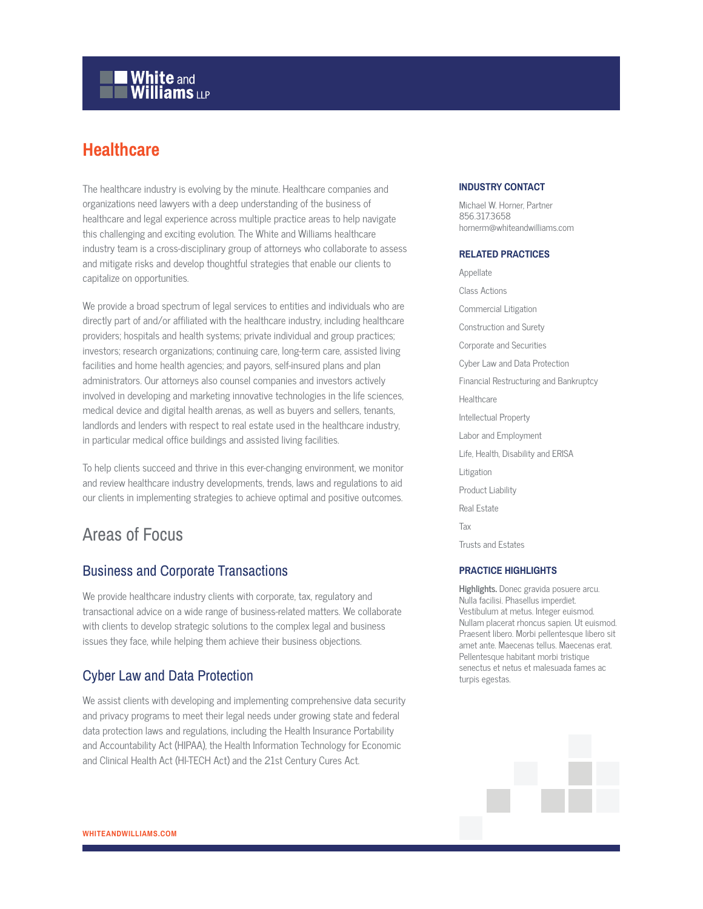# **White and Williams LLP**

## **Healthcare**

The healthcare industry is evolving by the minute. Healthcare companies and organizations need lawyers with a deep understanding of the business of healthcare and legal experience across multiple practice areas to help navigate this challenging and exciting evolution. The White and Williams healthcare industry team is a cross-disciplinary group of attorneys who collaborate to assess and mitigate risks and develop thoughtful strategies that enable our clients to capitalize on opportunities.

We provide a broad spectrum of legal services to entities and individuals who are directly part of and/or affiliated with the healthcare industry, including healthcare providers; hospitals and health systems; private individual and group practices; investors; research organizations; continuing care, long-term care, assisted living facilities and home health agencies; and payors, self-insured plans and plan administrators. Our attorneys also counsel companies and investors actively involved in developing and marketing innovative technologies in the life sciences, medical device and digital health arenas, as well as buyers and sellers, tenants, landlords and lenders with respect to real estate used in the healthcare industry, in particular medical office buildings and assisted living facilities.

To help clients succeed and thrive in this ever-changing environment, we monitor and review healthcare industry developments, trends, laws and regulations to aid our clients in implementing strategies to achieve optimal and positive outcomes.

## Areas of Focus

### Business and Corporate Transactions

We provide healthcare industry clients with corporate, tax, regulatory and transactional advice on a wide range of business-related matters. We collaborate with clients to develop strategic solutions to the complex legal and business issues they face, while helping them achieve their business objections.

## Cyber Law and Data Protection

We assist clients with developing and implementing comprehensive data security and privacy programs to meet their legal needs under growing state and federal data protection laws and regulations, including the Health Insurance Portability and Accountability Act (HIPAA), the Health Information Technology for Economic and Clinical Health Act (HI-TECH Act) and the 21st Century Cures Act.

#### **INDUSTRY CONTACT**

Michael W. Horner, Partner 856.317.3658 hornerm@whiteandwilliams.com

#### **RELATED PRACTICES**

Appellate Class Actions Commercial Litigation Construction and Surety Corporate and Securities Cyber Law and Data Protection Financial Restructuring and Bankruptcy Healthcare Intellectual Property Labor and Employment Life, Health, Disability and ERISA Litigation Product Liability Real Estate Tax Trusts and Estates

#### **PRACTICE HIGHLIGHTS**

**Highlights.** Donec gravida posuere arcu. Nulla facilisi. Phasellus imperdiet. Vestibulum at metus. Integer euismod. Nullam placerat rhoncus sapien. Ut euismod. Praesent libero. Morbi pellentesque libero sit amet ante. Maecenas tellus. Maecenas erat. Pellentesque habitant morbi tristique senectus et netus et malesuada fames ac turpis egestas.

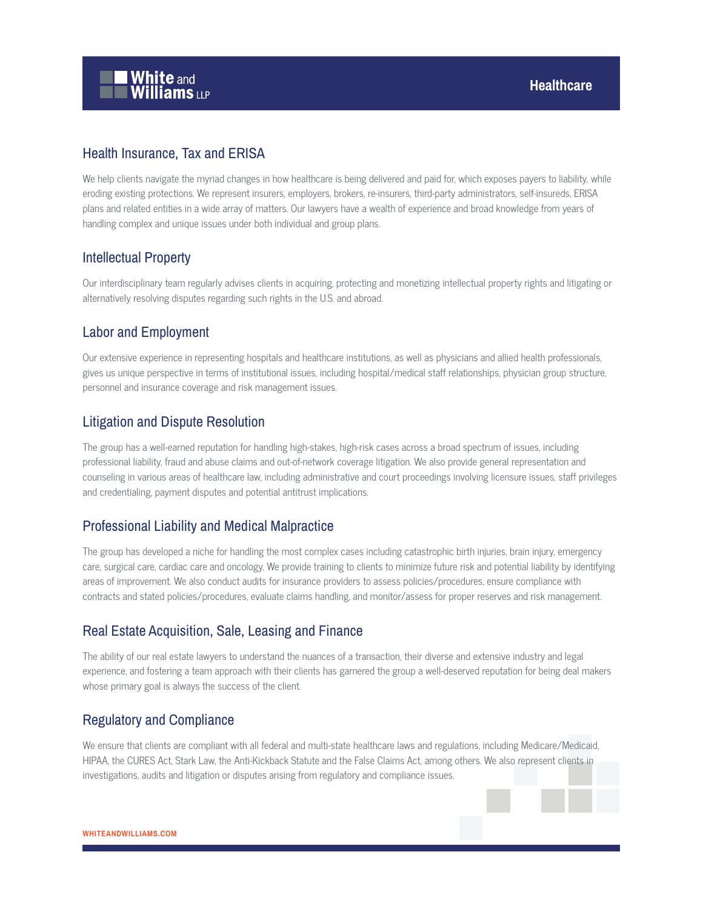

## Health Insurance, Tax and ERISA

We help clients navigate the myriad changes in how healthcare is being delivered and paid for, which exposes payers to liability, while eroding existing protections. We represent insurers, employers, brokers, re-insurers, third-party administrators, self-insureds, ERISA plans and related entities in a wide array of matters. Our lawyers have a wealth of experience and broad knowledge from years of handling complex and unique issues under both individual and group plans.

## Intellectual Property

Our interdisciplinary team regularly advises clients in acquiring, protecting and monetizing intellectual property rights and litigating or alternatively resolving disputes regarding such rights in the U.S. and abroad.

## Labor and Employment

Our extensive experience in representing hospitals and healthcare institutions, as well as physicians and allied health professionals, gives us unique perspective in terms of institutional issues, including hospital/medical staff relationships, physician group structure, personnel and insurance coverage and risk management issues.

## Litigation and Dispute Resolution

The group has a well-earned reputation for handling high-stakes, high-risk cases across a broad spectrum of issues, including professional liability, fraud and abuse claims and out-of-network coverage litigation. We also provide general representation and counseling in various areas of healthcare law, including administrative and court proceedings involving licensure issues, staff privileges and credentialing, payment disputes and potential antitrust implications.

## Professional Liability and Medical Malpractice

The group has developed a niche for handling the most complex cases including catastrophic birth injuries, brain injury, emergency care, surgical care, cardiac care and oncology. We provide training to clients to minimize future risk and potential liability by identifying areas of improvement. We also conduct audits for insurance providers to assess policies/procedures, ensure compliance with contracts and stated policies/procedures, evaluate claims handling, and monitor/assess for proper reserves and risk management.

### Real Estate Acquisition, Sale, Leasing and Finance

The ability of our real estate lawyers to understand the nuances of a transaction, their diverse and extensive industry and legal experience, and fostering a team approach with their clients has garnered the group a well-deserved reputation for being deal makers whose primary goal is always the success of the client.

### Regulatory and Compliance

We ensure that clients are compliant with all federal and multi-state healthcare laws and regulations, including Medicare/Medicaid, HIPAA, the CURES Act, Stark Law, the Anti-Kickback Statute and the False Claims Act, among others. We also represent clients in investigations, audits and litigation or disputes arising from regulatory and compliance issues.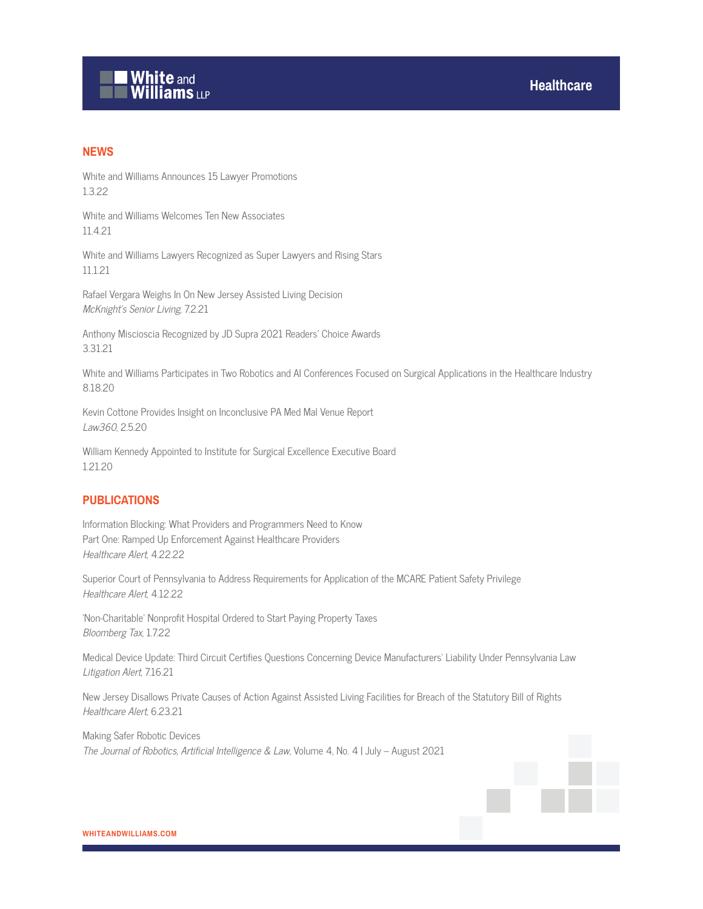

#### **NEWS**

White and Williams Announces 15 Lawyer Promotions 1.3.22

White and Williams Welcomes Ten New Associates 11.4.21

White and Williams Lawyers Recognized as Super Lawyers and Rising Stars 11.1.21

Rafael Vergara Weighs In On New Jersey Assisted Living Decision McKnight's Senior Living, 7.2.21

Anthony Miscioscia Recognized by JD Supra 2021 Readers' Choice Awards 3.31.21

White and Williams Participates in Two Robotics and AI Conferences Focused on Surgical Applications in the Healthcare Industry 8.18.20

Kevin Cottone Provides Insight on Inconclusive PA Med Mal Venue Report Law360, 2.5.20

William Kennedy Appointed to Institute for Surgical Excellence Executive Board 1.21.20

#### **PUBLICATIONS**

Information Blocking: What Providers and Programmers Need to Know Part One: Ramped Up Enforcement Against Healthcare Providers Healthcare Alert, 4.22.22

Superior Court of Pennsylvania to Address Requirements for Application of the MCARE Patient Safety Privilege Healthcare Alert, 4.12.22

'Non-Charitable' Nonprofit Hospital Ordered to Start Paying Property Taxes Bloomberg Tax, 1.7.22

Medical Device Update: Third Circuit Certifies Questions Concerning Device Manufacturers' Liability Under Pennsylvania Law Litigation Alert, 7.16.21

New Jersey Disallows Private Causes of Action Against Assisted Living Facilities for Breach of the Statutory Bill of Rights Healthcare Alert, 6.23.21

Making Safer Robotic Devices The Journal of Robotics, Artificial Intelligence & Law, Volume 4, No. 4 | July – August 2021

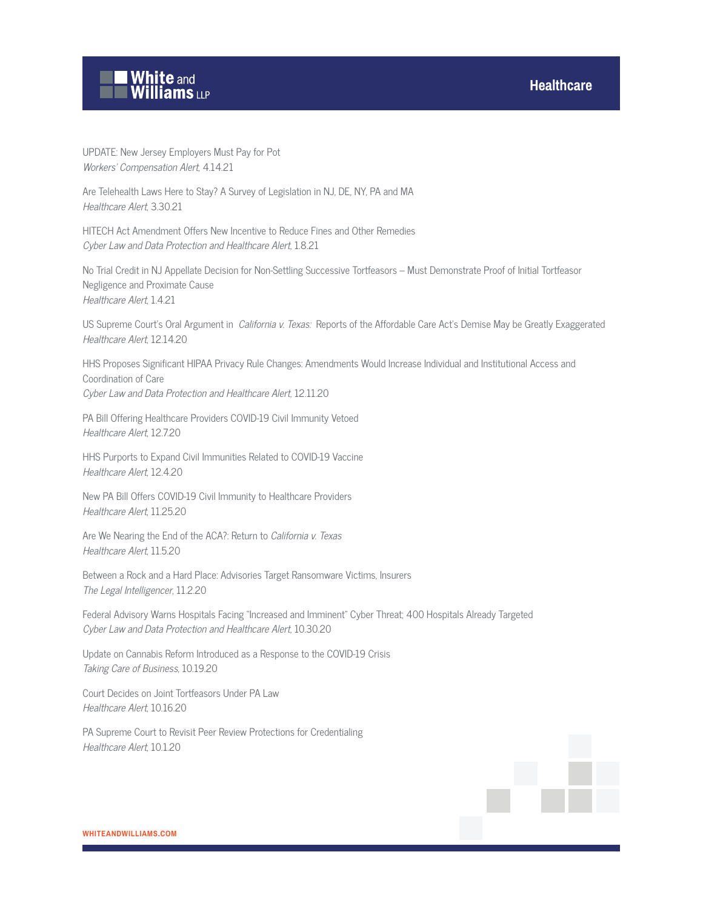



UPDATE: New Jersey Employers Must Pay for Pot Workers' Compensation Alert, 4.14.21

Are Telehealth Laws Here to Stay? A Survey of Legislation in NJ, DE, NY, PA and MA Healthcare Alert, 3.30.21

HITECH Act Amendment Offers New Incentive to Reduce Fines and Other Remedies Cyber Law and Data Protection and Healthcare Alert, 1.8.21

No Trial Credit in NJ Appellate Decision for Non-Settling Successive Tortfeasors – Must Demonstrate Proof of Initial Tortfeasor Negligence and Proximate Cause Healthcare Alert, 1.4.21

US Supreme Court's Oral Argument in *California v. Texas:* Reports of the Affordable Care Act's Demise May be Greatly Exaggerated Healthcare Alert, 12.14.20

HHS Proposes Significant HIPAA Privacy Rule Changes: Amendments Would Increase Individual and Institutional Access and Coordination of Care Cyber Law and Data Protection and Healthcare Alert, 12.11.20

PA Bill Offering Healthcare Providers COVID-19 Civil Immunity Vetoed Healthcare Alert, 12.7.20

HHS Purports to Expand Civil Immunities Related to COVID-19 Vaccine Healthcare Alert, 12.4.20

New PA Bill Offers COVID-19 Civil Immunity to Healthcare Providers Healthcare Alert, 11.25.20

Are We Nearing the End of the ACA?: Return to California v. Texas Healthcare Alert, 11.5.20

Between a Rock and a Hard Place: Advisories Target Ransomware Victims, Insurers The Legal Intelligencer, 11.2.20

Federal Advisory Warns Hospitals Facing "Increased and Imminent" Cyber Threat; 400 Hospitals Already Targeted Cyber Law and Data Protection and Healthcare Alert, 10.30.20

Update on Cannabis Reform Introduced as a Response to the COVID-19 Crisis Taking Care of Business, 10.19.20

Court Decides on Joint Tortfeasors Under PA Law Healthcare Alert, 10.16.20

PA Supreme Court to Revisit Peer Review Protections for Credentialing Healthcare Alert, 10.1.20

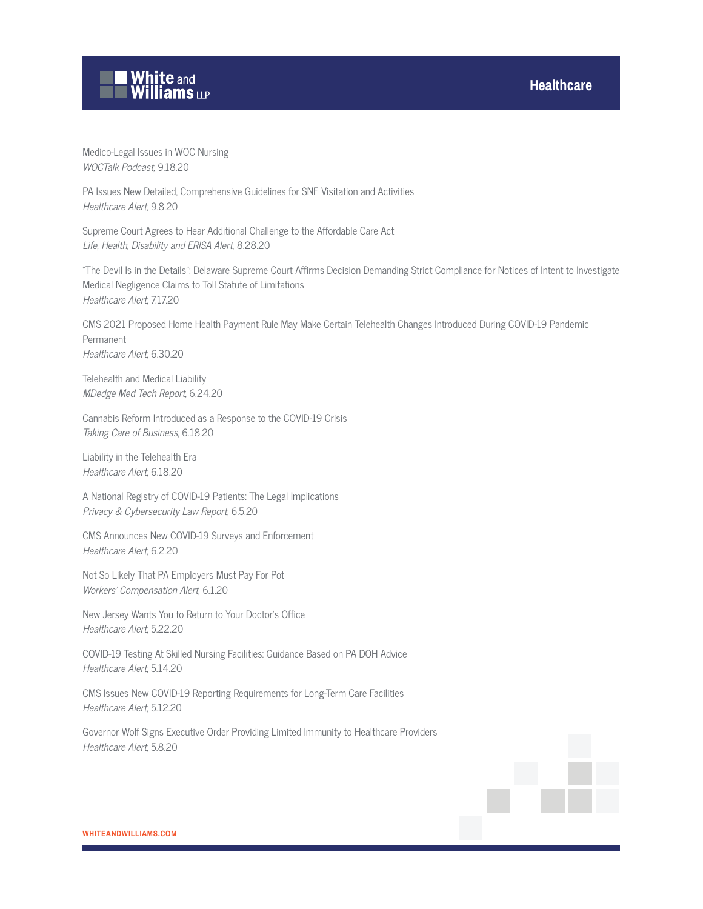### **Healthcare**



Medico-Legal Issues in WOC Nursing WOCTalk Podcast, 9.18.20

PA Issues New Detailed, Comprehensive Guidelines for SNF Visitation and Activities Healthcare Alert, 9.8.20

Supreme Court Agrees to Hear Additional Challenge to the Affordable Care Act Life, Health, Disability and ERISA Alert, 8.28.20

"The Devil Is in the Details": Delaware Supreme Court Affirms Decision Demanding Strict Compliance for Notices of Intent to Investigate Medical Negligence Claims to Toll Statute of Limitations Healthcare Alert, 7.17.20

CMS 2021 Proposed Home Health Payment Rule May Make Certain Telehealth Changes Introduced During COVID-19 Pandemic Permanent Healthcare Alert, 6.30.20

Telehealth and Medical Liability MDedge Med Tech Report, 6.24.20

Cannabis Reform Introduced as a Response to the COVID-19 Crisis Taking Care of Business, 6.18.20

Liability in the Telehealth Era Healthcare Alert, 6.18.20

A National Registry of COVID-19 Patients: The Legal Implications Privacy & Cybersecurity Law Report, 6.5.20

CMS Announces New COVID-19 Surveys and Enforcement Healthcare Alert, 6.2.20

Not So Likely That PA Employers Must Pay For Pot Workers' Compensation Alert, 6.1.20

New Jersey Wants You to Return to Your Doctor's Office Healthcare Alert, 5.22.20

COVID-19 Testing At Skilled Nursing Facilities: Guidance Based on PA DOH Advice Healthcare Alert, 5.14.20

CMS Issues New COVID-19 Reporting Requirements for Long-Term Care Facilities Healthcare Alert, 5.12.20

Governor Wolf Signs Executive Order Providing Limited Immunity to Healthcare Providers Healthcare Alert, 5.8.20

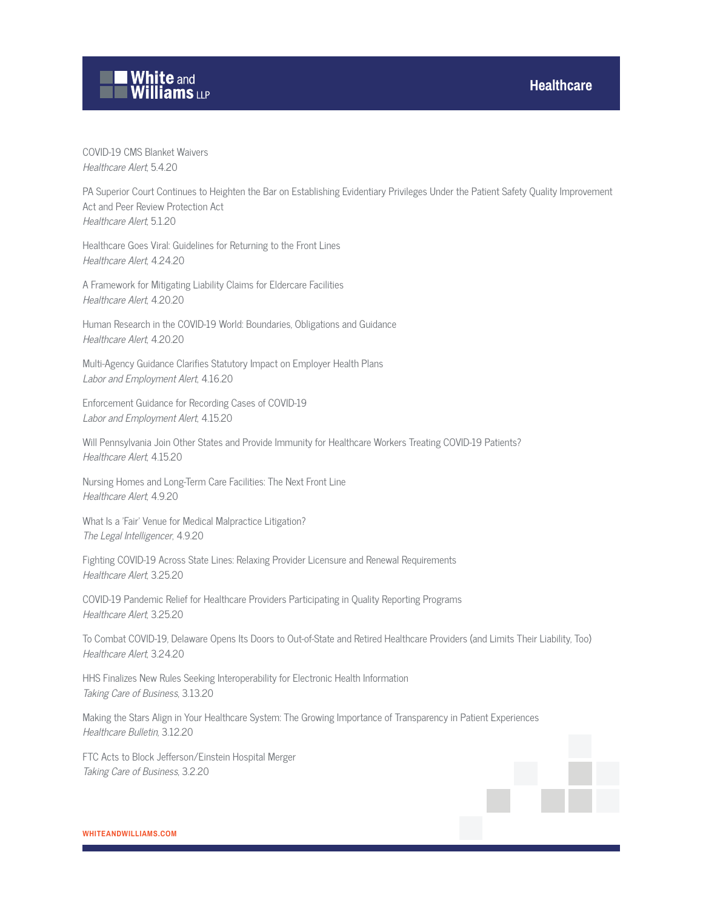# **White and Williams LLP**

#### COVID-19 CMS Blanket Waivers Healthcare Alert, 5.4.20

PA Superior Court Continues to Heighten the Bar on Establishing Evidentiary Privileges Under the Patient Safety Quality Improvement Act and Peer Review Protection Act Healthcare Alert, 5.1.20

Healthcare Goes Viral: Guidelines for Returning to the Front Lines Healthcare Alert, 4.24.20

A Framework for Mitigating Liability Claims for Eldercare Facilities Healthcare Alert, 4.20.20

Human Research in the COVID-19 World: Boundaries, Obligations and Guidance Healthcare Alert, 4.20.20

Multi-Agency Guidance Clarifies Statutory Impact on Employer Health Plans Labor and Employment Alert, 4.16.20

Enforcement Guidance for Recording Cases of COVID-19 Labor and Employment Alert, 4.15.20

Will Pennsylvania Join Other States and Provide Immunity for Healthcare Workers Treating COVID-19 Patients? Healthcare Alert, 4.15.20

Nursing Homes and Long-Term Care Facilities: The Next Front Line Healthcare Alert, 4.9.20

What Is a 'Fair' Venue for Medical Malpractice Litigation? The Legal Intelligencer, 4.9.20

Fighting COVID-19 Across State Lines: Relaxing Provider Licensure and Renewal Requirements Healthcare Alert, 3.25.20

COVID-19 Pandemic Relief for Healthcare Providers Participating in Quality Reporting Programs Healthcare Alert, 3.25.20

To Combat COVID-19, Delaware Opens Its Doors to Out-of-State and Retired Healthcare Providers (and Limits Their Liability, Too) Healthcare Alert, 3.24.20

HHS Finalizes New Rules Seeking Interoperability for Electronic Health Information Taking Care of Business, 3.13.20

Making the Stars Align in Your Healthcare System: The Growing Importance of Transparency in Patient Experiences Healthcare Bulletin, 3.12.20

FTC Acts to Block Jefferson/Einstein Hospital Merger Taking Care of Business, 3.2.20